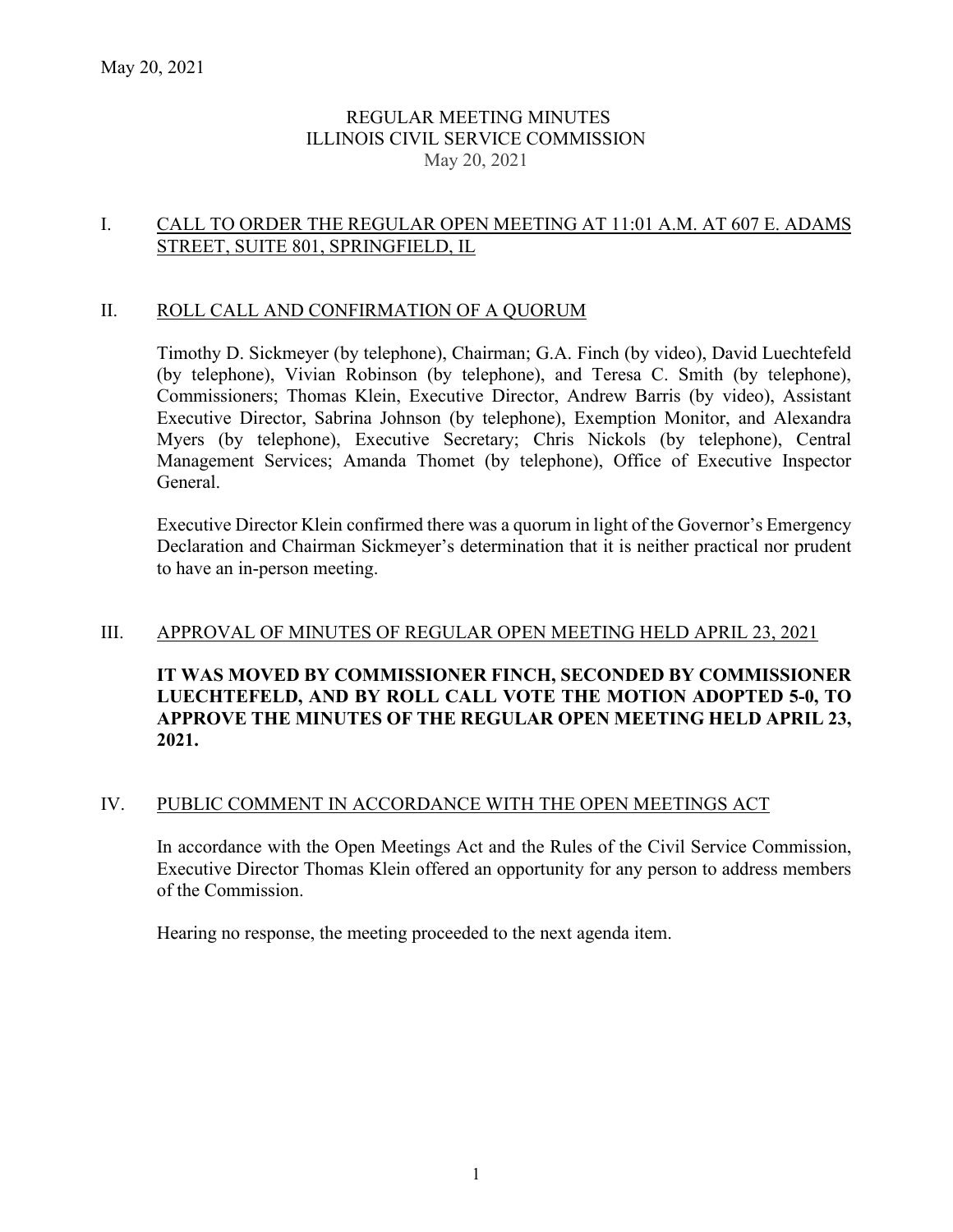## REGULAR MEETING MINUTES ILLINOIS CIVIL SERVICE COMMISSION May 20, 2021

## I. CALL TO ORDER THE REGULAR OPEN MEETING AT 11:01 A.M. AT 607 E. ADAMS STREET, SUITE 801, SPRINGFIELD, IL

### II. ROLL CALL AND CONFIRMATION OF A QUORUM

Timothy D. Sickmeyer (by telephone), Chairman; G.A. Finch (by video), David Luechtefeld (by telephone), Vivian Robinson (by telephone), and Teresa C. Smith (by telephone), Commissioners; Thomas Klein, Executive Director, Andrew Barris (by video), Assistant Executive Director, Sabrina Johnson (by telephone), Exemption Monitor, and Alexandra Myers (by telephone), Executive Secretary; Chris Nickols (by telephone), Central Management Services; Amanda Thomet (by telephone), Office of Executive Inspector General.

Executive Director Klein confirmed there was a quorum in light of the Governor's Emergency Declaration and Chairman Sickmeyer's determination that it is neither practical nor prudent to have an in-person meeting.

### III. APPROVAL OF MINUTES OF REGULAR OPEN MEETING HELD APRIL 23, 2021

# **IT WAS MOVED BY COMMISSIONER FINCH, SECONDED BY COMMISSIONER LUECHTEFELD, AND BY ROLL CALL VOTE THE MOTION ADOPTED 5-0, TO APPROVE THE MINUTES OF THE REGULAR OPEN MEETING HELD APRIL 23, 2021.**

#### IV. PUBLIC COMMENT IN ACCORDANCE WITH THE OPEN MEETINGS ACT

In accordance with the Open Meetings Act and the Rules of the Civil Service Commission, Executive Director Thomas Klein offered an opportunity for any person to address members of the Commission.

Hearing no response, the meeting proceeded to the next agenda item.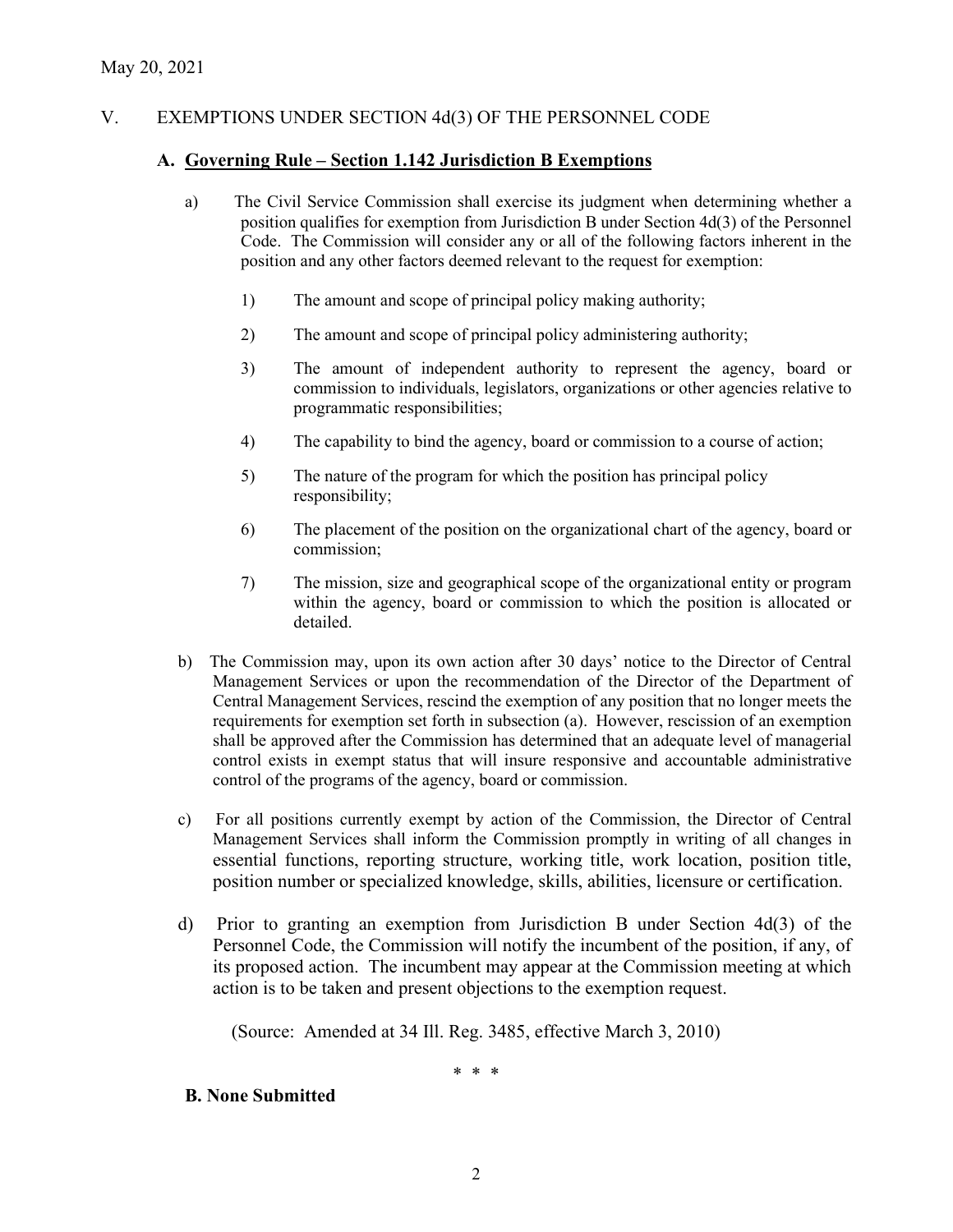# V. EXEMPTIONS UNDER SECTION 4d(3) OF THE PERSONNEL CODE

## **A. Governing Rule – Section 1.142 Jurisdiction B Exemptions**

- a) The Civil Service Commission shall exercise its judgment when determining whether a position qualifies for exemption from Jurisdiction B under Section 4d(3) of the Personnel Code. The Commission will consider any or all of the following factors inherent in the position and any other factors deemed relevant to the request for exemption:
	- 1) The amount and scope of principal policy making authority;
	- 2) The amount and scope of principal policy administering authority;
	- 3) The amount of independent authority to represent the agency, board or commission to individuals, legislators, organizations or other agencies relative to programmatic responsibilities;
	- 4) The capability to bind the agency, board or commission to a course of action;
	- 5) The nature of the program for which the position has principal policy responsibility;
	- 6) The placement of the position on the organizational chart of the agency, board or commission;
	- 7) The mission, size and geographical scope of the organizational entity or program within the agency, board or commission to which the position is allocated or detailed.
- b) The Commission may, upon its own action after 30 days' notice to the Director of Central Management Services or upon the recommendation of the Director of the Department of Central Management Services, rescind the exemption of any position that no longer meets the requirements for exemption set forth in subsection (a). However, rescission of an exemption shall be approved after the Commission has determined that an adequate level of managerial control exists in exempt status that will insure responsive and accountable administrative control of the programs of the agency, board or commission.
- c) For all positions currently exempt by action of the Commission, the Director of Central Management Services shall inform the Commission promptly in writing of all changes in essential functions, reporting structure, working title, work location, position title, position number or specialized knowledge, skills, abilities, licensure or certification.
- d) Prior to granting an exemption from Jurisdiction B under Section 4d(3) of the Personnel Code, the Commission will notify the incumbent of the position, if any, of its proposed action. The incumbent may appear at the Commission meeting at which action is to be taken and present objections to the exemption request.

(Source: Amended at 34 Ill. Reg. 3485, effective March 3, 2010)

\* \* \*

## **B. None Submitted**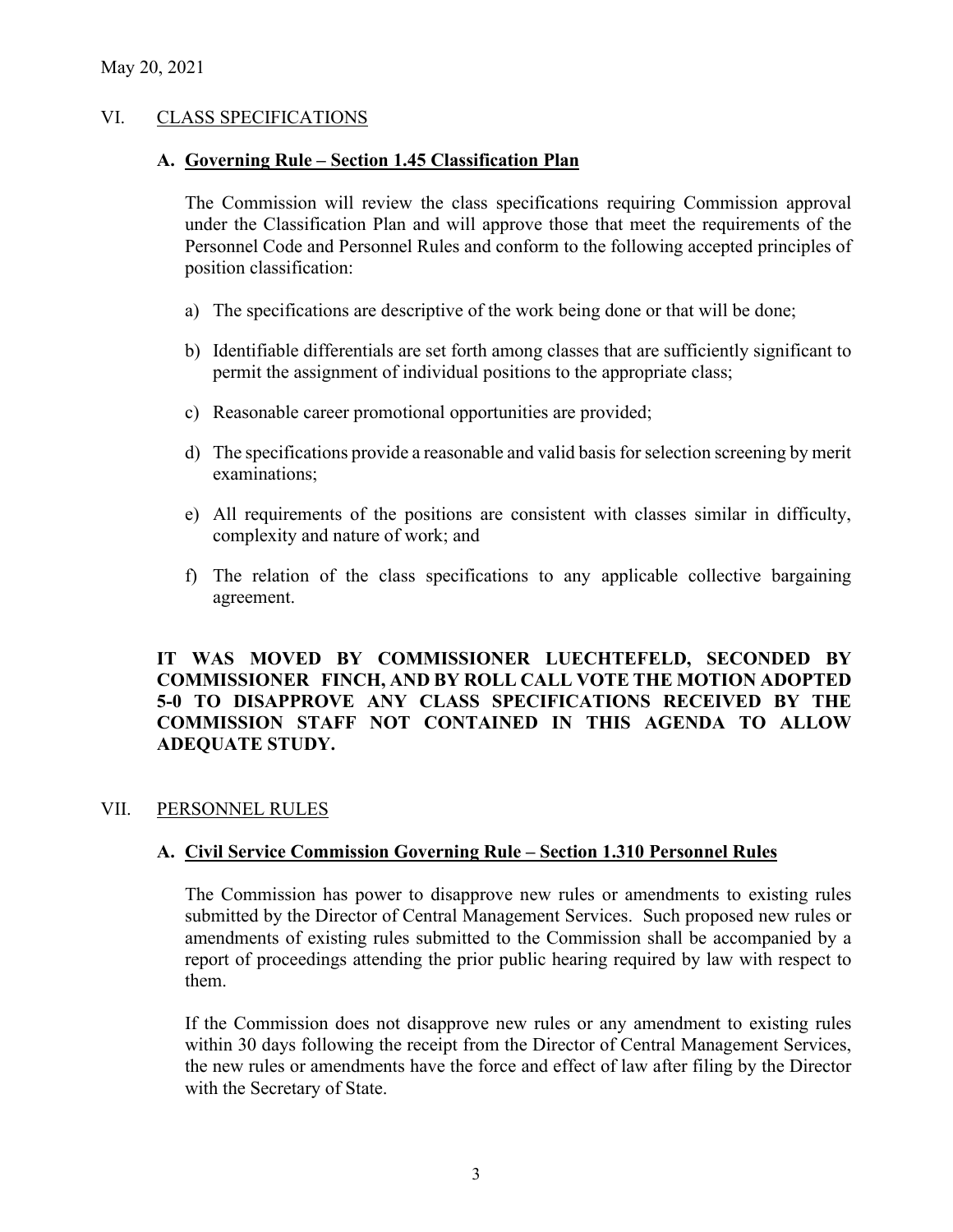## VI. CLASS SPECIFICATIONS

## **A. Governing Rule – Section 1.45 Classification Plan**

The Commission will review the class specifications requiring Commission approval under the Classification Plan and will approve those that meet the requirements of the Personnel Code and Personnel Rules and conform to the following accepted principles of position classification:

- a) The specifications are descriptive of the work being done or that will be done;
- b) Identifiable differentials are set forth among classes that are sufficiently significant to permit the assignment of individual positions to the appropriate class;
- c) Reasonable career promotional opportunities are provided;
- d) The specifications provide a reasonable and valid basis for selection screening by merit examinations;
- e) All requirements of the positions are consistent with classes similar in difficulty, complexity and nature of work; and
- f) The relation of the class specifications to any applicable collective bargaining agreement.

## **IT WAS MOVED BY COMMISSIONER LUECHTEFELD, SECONDED BY COMMISSIONER FINCH, AND BY ROLL CALL VOTE THE MOTION ADOPTED 5-0 TO DISAPPROVE ANY CLASS SPECIFICATIONS RECEIVED BY THE COMMISSION STAFF NOT CONTAINED IN THIS AGENDA TO ALLOW ADEQUATE STUDY.**

# VII. PERSONNEL RULES

# **A. Civil Service Commission Governing Rule – Section 1.310 Personnel Rules**

The Commission has power to disapprove new rules or amendments to existing rules submitted by the Director of Central Management Services. Such proposed new rules or amendments of existing rules submitted to the Commission shall be accompanied by a report of proceedings attending the prior public hearing required by law with respect to them.

If the Commission does not disapprove new rules or any amendment to existing rules within 30 days following the receipt from the Director of Central Management Services, the new rules or amendments have the force and effect of law after filing by the Director with the Secretary of State.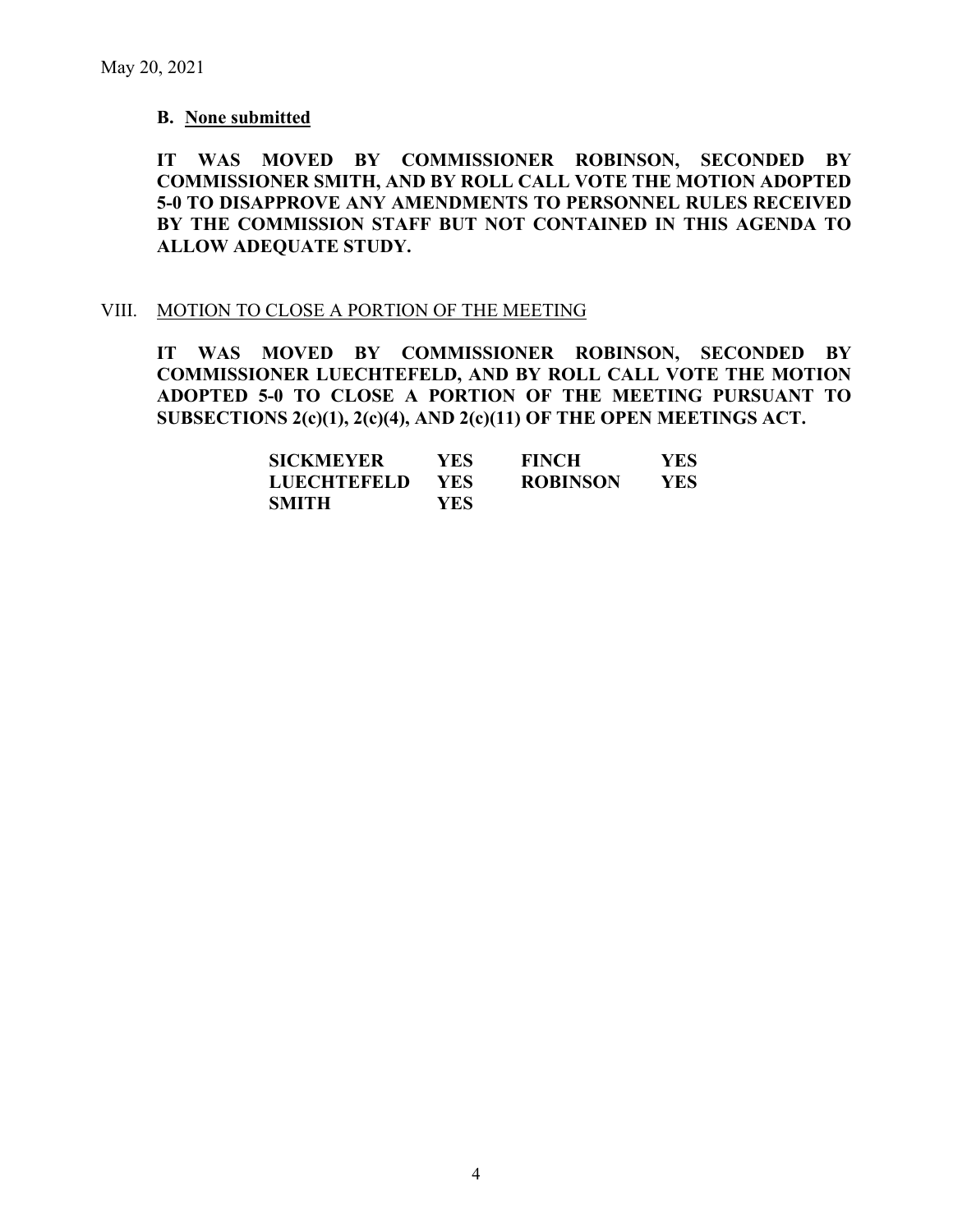### **B. None submitted**

**IT WAS MOVED BY COMMISSIONER ROBINSON, SECONDED BY COMMISSIONER SMITH, AND BY ROLL CALL VOTE THE MOTION ADOPTED 5-0 TO DISAPPROVE ANY AMENDMENTS TO PERSONNEL RULES RECEIVED BY THE COMMISSION STAFF BUT NOT CONTAINED IN THIS AGENDA TO ALLOW ADEQUATE STUDY.** 

#### VIII. MOTION TO CLOSE A PORTION OF THE MEETING

**IT WAS MOVED BY COMMISSIONER ROBINSON, SECONDED BY COMMISSIONER LUECHTEFELD, AND BY ROLL CALL VOTE THE MOTION ADOPTED 5-0 TO CLOSE A PORTION OF THE MEETING PURSUANT TO SUBSECTIONS 2(c)(1), 2(c)(4), AND 2(c)(11) OF THE OPEN MEETINGS ACT.**

| <b>SICKMEYER</b>   | YES.       | <b>FINCH</b>    | <b>YES</b> |
|--------------------|------------|-----------------|------------|
| <b>LUECHTEFELD</b> | <b>YES</b> | <b>ROBINSON</b> | YES        |
| <b>SMITH</b>       | YES.       |                 |            |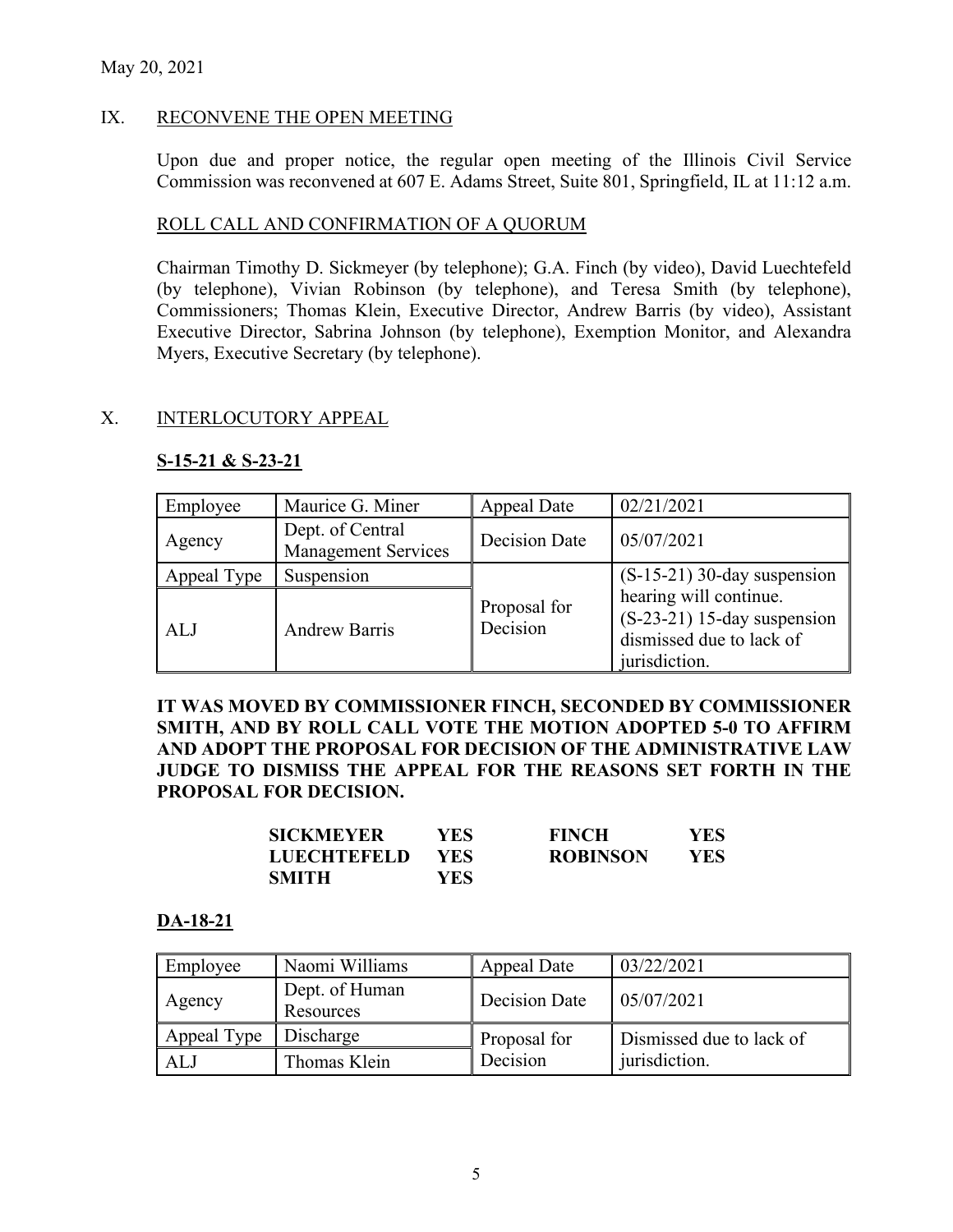## IX. RECONVENE THE OPEN MEETING

Upon due and proper notice, the regular open meeting of the Illinois Civil Service Commission was reconvened at 607 E. Adams Street, Suite 801, Springfield, IL at 11:12 a.m.

### ROLL CALL AND CONFIRMATION OF A QUORUM

Chairman Timothy D. Sickmeyer (by telephone); G.A. Finch (by video), David Luechtefeld (by telephone), Vivian Robinson (by telephone), and Teresa Smith (by telephone), Commissioners; Thomas Klein, Executive Director, Andrew Barris (by video), Assistant Executive Director, Sabrina Johnson (by telephone), Exemption Monitor, and Alexandra Myers, Executive Secretary (by telephone).

## X. INTERLOCUTORY APPEAL

## **S-15-21 & S-23-21**

| Employee    | Maurice G. Miner                               | Appeal Date              | 02/21/2021                                                                                           |
|-------------|------------------------------------------------|--------------------------|------------------------------------------------------------------------------------------------------|
| Agency      | Dept. of Central<br><b>Management Services</b> | Decision Date            | 05/07/2021                                                                                           |
| Appeal Type | Suspension                                     |                          | $(S-15-21)$ 30-day suspension                                                                        |
| ALJ         | <b>Andrew Barris</b>                           | Proposal for<br>Decision | hearing will continue.<br>$(S-23-21)$ 15-day suspension<br>dismissed due to lack of<br>jurisdiction. |

## **IT WAS MOVED BY COMMISSIONER FINCH, SECONDED BY COMMISSIONER SMITH, AND BY ROLL CALL VOTE THE MOTION ADOPTED 5-0 TO AFFIRM AND ADOPT THE PROPOSAL FOR DECISION OF THE ADMINISTRATIVE LAW JUDGE TO DISMISS THE APPEAL FOR THE REASONS SET FORTH IN THE PROPOSAL FOR DECISION.**

| SICKMEYER   | YES.       | <b>FINCH</b>    | <b>YES</b> |
|-------------|------------|-----------------|------------|
| LUECHTEFELD | <b>YES</b> | <b>ROBINSON</b> | <b>YES</b> |
| SMITH       | YES        |                 |            |

### **DA-18-21**

| Employee    | Naomi Williams              | Appeal Date   | 03/22/2021               |
|-------------|-----------------------------|---------------|--------------------------|
| Agency      | Dept. of Human<br>Resources | Decision Date | 05/07/2021               |
| Appeal Type | Discharge                   | Proposal for  | Dismissed due to lack of |
| AL.         | Thomas Klein                | Decision      | jurisdiction.            |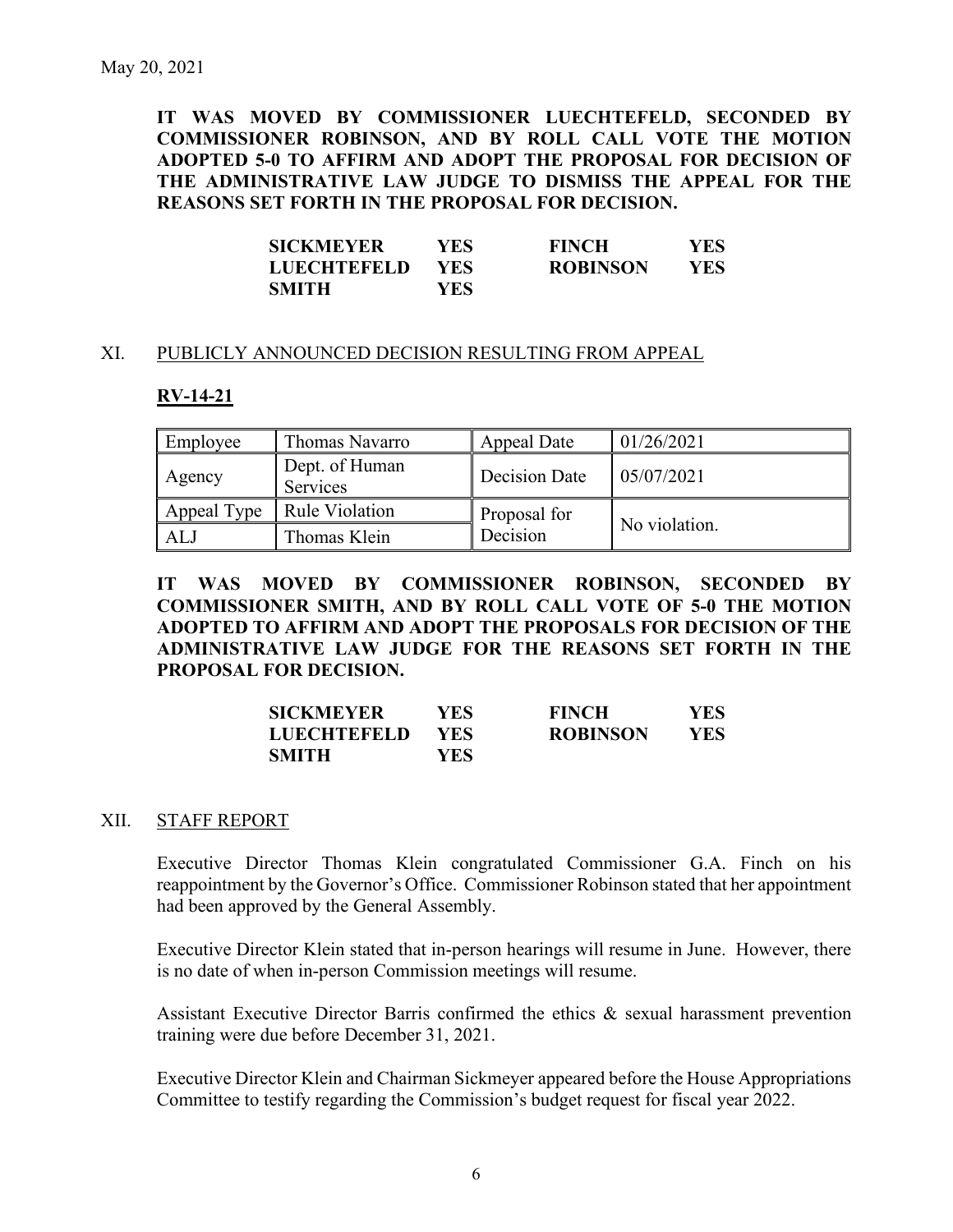**IT WAS MOVED BY COMMISSIONER LUECHTEFELD, SECONDED BY COMMISSIONER ROBINSON, AND BY ROLL CALL VOTE THE MOTION ADOPTED 5-0 TO AFFIRM AND ADOPT THE PROPOSAL FOR DECISION OF THE ADMINISTRATIVE LAW JUDGE TO DISMISS THE APPEAL FOR THE REASONS SET FORTH IN THE PROPOSAL FOR DECISION.** 

| <b>SICKMEYER</b>   | YES-       | <b>FINCH</b>    | <b>YES</b> |
|--------------------|------------|-----------------|------------|
| <b>LUECHTEFELD</b> | <b>YES</b> | <b>ROBINSON</b> | <b>YES</b> |
| <b>SMITH</b>       | YES        |                 |            |

### XI. PUBLICLY ANNOUNCED DECISION RESULTING FROM APPEAL

### **RV-14-21**

| Employee    | Thomas Navarro             | Appeal Date   | 01/26/2021    |
|-------------|----------------------------|---------------|---------------|
| Agency      | Dept. of Human<br>Services | Decision Date | 05/07/2021    |
| Appeal Type | <b>Rule Violation</b>      | Proposal for  |               |
| AL.         | Thomas Klein               | Decision      | No violation. |

**IT WAS MOVED BY COMMISSIONER ROBINSON, SECONDED BY COMMISSIONER SMITH, AND BY ROLL CALL VOTE OF 5-0 THE MOTION ADOPTED TO AFFIRM AND ADOPT THE PROPOSALS FOR DECISION OF THE ADMINISTRATIVE LAW JUDGE FOR THE REASONS SET FORTH IN THE PROPOSAL FOR DECISION.** 

| <b>SICKMEYER</b> | YES  | <b>FINCH</b>    | YES |
|------------------|------|-----------------|-----|
| LUECHTEFELD      | YES. | <b>ROBINSON</b> | YES |
| <b>SMITH</b>     | YES  |                 |     |

#### XII. STAFF REPORT

Executive Director Thomas Klein congratulated Commissioner G.A. Finch on his reappointment by the Governor's Office. Commissioner Robinson stated that her appointment had been approved by the General Assembly.

Executive Director Klein stated that in-person hearings will resume in June. However, there is no date of when in-person Commission meetings will resume.

Assistant Executive Director Barris confirmed the ethics & sexual harassment prevention training were due before December 31, 2021.

Executive Director Klein and Chairman Sickmeyer appeared before the House Appropriations Committee to testify regarding the Commission's budget request for fiscal year 2022.